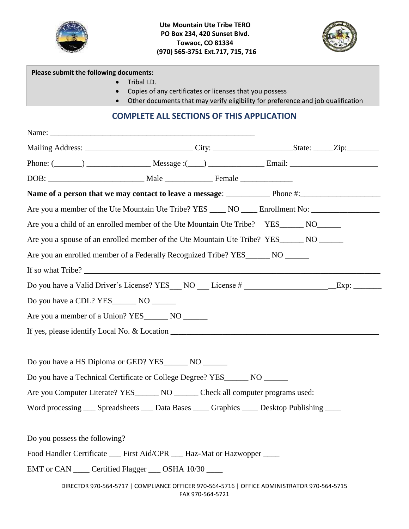



#### **Please submit the following documents:**

- Tribal I.D.
- Copies of any certificates or licenses that you possess
- Other documents that may verify eligibility for preference and job qualification

# **COMPLETE ALL SECTIONS OF THIS APPLICATION**

|                                                        | Mailing Address: ________________________________City: ________________________State: ______Zip:__________      |  |
|--------------------------------------------------------|-----------------------------------------------------------------------------------------------------------------|--|
|                                                        | Phone: $(\_\_\_\_\_)$ $\_\_\_\_\_\_\_$ Message : $(\_\_\_\)_$ $\_\_\_\_\_\_\_$ Email: $\_\_\_\_\_\_\_\_\_\_$    |  |
|                                                        |                                                                                                                 |  |
|                                                        |                                                                                                                 |  |
|                                                        | Are you a member of the Ute Mountain Ute Tribe? YES _____ NO _____ Enrollment No: __________________            |  |
|                                                        | Are you a child of an enrolled member of the Ute Mountain Ute Tribe? YES_______ NO_______                       |  |
|                                                        | Are you a spouse of an enrolled member of the Ute Mountain Ute Tribe? YES_______ NO ______                      |  |
|                                                        | Are you an enrolled member of a Federally Recognized Tribe? YES_______ NO ______                                |  |
|                                                        |                                                                                                                 |  |
|                                                        | Do you have a Valid Driver's License? YES NO License # __________________________Exp: ______________            |  |
|                                                        |                                                                                                                 |  |
| Are you a member of a Union? YES _________ NO ________ |                                                                                                                 |  |
|                                                        |                                                                                                                 |  |
|                                                        |                                                                                                                 |  |
|                                                        | Do you have a HS Diploma or GED? YES________ NO _______                                                         |  |
|                                                        | Do you have a Technical Certificate or College Degree? YES_______ NO _______                                    |  |
|                                                        | Are you Computer Literate? YES_______ NO ______ Check all computer programs used:                               |  |
|                                                        | Word processing ___ Spreadsheets ___ Data Bases ____ Graphics ____ Desktop Publishing ____                      |  |
|                                                        |                                                                                                                 |  |
| Do you possess the following?                          |                                                                                                                 |  |
|                                                        | Food Handler Certificate ___ First Aid/CPR ___ Haz-Mat or Hazwopper ____                                        |  |
|                                                        | EMT or CAN _____ Certified Flagger ____ OSHA 10/30 ____                                                         |  |
|                                                        | DIRECTOR 970-564-5717   COMPLIANCE OFFICER 970-564-5716   OFFICE ADMINISTRATOR 970-564-5715<br>FAX 970-564-5721 |  |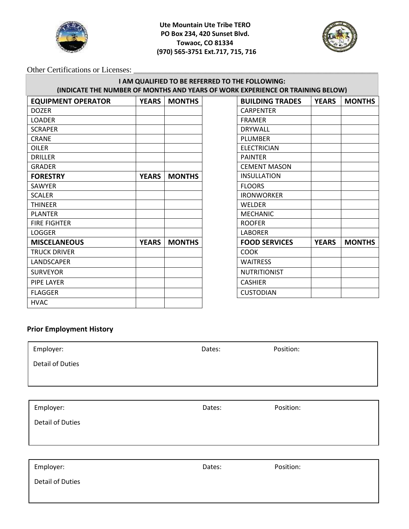

**Ute Mountain Ute Tribe TERO PO Box 234, 420 Sunset Blvd. Towaoc, CO 81334 (970) 565-3751 Ext.717, 715, 716**



Other Certifications or Licenses:

#### **I AM QUALIFIED TO BE REFERRED TO THE FOLLOWING: (INDICATE THE NUMBER OF MONTHS AND YEARS OF WORK EXPERIENCE OR TRAINING BELOW)**

| <b>YEARS</b> | <b>MONTHS</b> | <b>BUILDING TRADES</b> | <b>YEARS</b> | <b>MONTHS</b> |
|--------------|---------------|------------------------|--------------|---------------|
|              |               | <b>CARPENTER</b>       |              |               |
|              |               | <b>FRAMER</b>          |              |               |
|              |               | <b>DRYWALL</b>         |              |               |
|              |               | <b>PLUMBER</b>         |              |               |
|              |               | <b>ELECTRICIAN</b>     |              |               |
|              |               | <b>PAINTER</b>         |              |               |
|              |               | <b>CEMENT MASON</b>    |              |               |
| <b>YEARS</b> | <b>MONTHS</b> | <b>INSULLATION</b>     |              |               |
|              |               | <b>FLOORS</b>          |              |               |
|              |               | <b>IRONWORKER</b>      |              |               |
|              |               | WELDER                 |              |               |
|              |               | <b>MECHANIC</b>        |              |               |
|              |               | <b>ROOFER</b>          |              |               |
|              |               | <b>LABORER</b>         |              |               |
| <b>YEARS</b> | <b>MONTHS</b> | <b>FOOD SERVICES</b>   | <b>YEARS</b> | <b>MONTHS</b> |
|              |               | <b>COOK</b>            |              |               |
|              |               | <b>WAITRESS</b>        |              |               |
|              |               | <b>NUTRITIONIST</b>    |              |               |
|              |               | <b>CASHIER</b>         |              |               |
|              |               | <b>CUSTODIAN</b>       |              |               |
|              |               |                        |              |               |
|              |               |                        |              |               |

| <b>BUILDING TRADES</b> | <b>YEARS</b> | <b>MONTHS</b> |
|------------------------|--------------|---------------|
| <b>CARPENTER</b>       |              |               |
| <b>FRAMER</b>          |              |               |
| DRYWALL                |              |               |
| PLUMBER                |              |               |
| <b>ELECTRICIAN</b>     |              |               |
| <b>PAINTER</b>         |              |               |
| <b>CEMENT MASON</b>    |              |               |
| INSULLATION            |              |               |
| <b>FLOORS</b>          |              |               |
| <b>IRONWORKER</b>      |              |               |
| WELDER                 |              |               |
| <b>MECHANIC</b>        |              |               |
| <b>ROOFER</b>          |              |               |
| LABORER                |              |               |
| <b>FOOD SERVICES</b>   | <b>YEARS</b> | <b>MONTHS</b> |
| COOK                   |              |               |
| <b>WAITRESS</b>        |              |               |
| NUTRITIONIST           |              |               |
| CASHIER                |              |               |
| CUSTODIAN              |              |               |

### **Prior Employment History**

| Employer:               | Dates: | Position: |
|-------------------------|--------|-----------|
| <b>Detail of Duties</b> |        |           |
|                         |        |           |
|                         |        |           |
| Employer:               | Dates: | Position: |
| <b>Detail of Duties</b> |        |           |
|                         |        |           |
|                         |        |           |
| Employer:               | Dates: | Position: |
| <b>Detail of Duties</b> |        |           |
|                         |        |           |